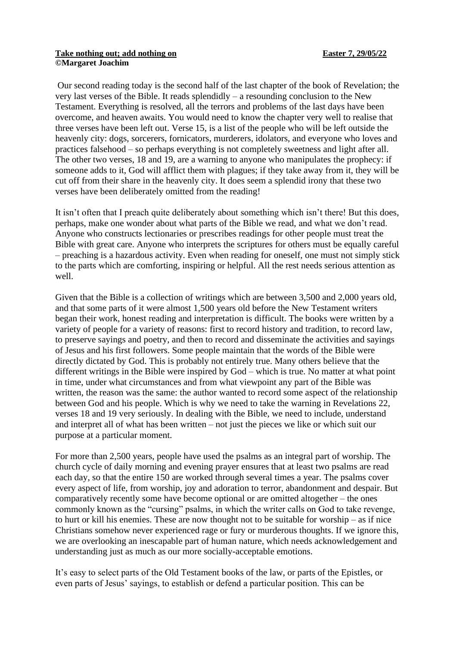## Take nothing out; add nothing on **Easter 7, 29/05/22 ©Margaret Joachim**

Our second reading today is the second half of the last chapter of the book of Revelation; the very last verses of the Bible. It reads splendidly – a resounding conclusion to the New Testament. Everything is resolved, all the terrors and problems of the last days have been overcome, and heaven awaits. You would need to know the chapter very well to realise that three verses have been left out. Verse 15, is a list of the people who will be left outside the heavenly city: dogs, sorcerers, fornicators, murderers, idolators, and everyone who loves and practices falsehood – so perhaps everything is not completely sweetness and light after all. The other two verses, 18 and 19, are a warning to anyone who manipulates the prophecy: if someone adds to it, God will afflict them with plagues; if they take away from it, they will be cut off from their share in the heavenly city. It does seem a splendid irony that these two verses have been deliberately omitted from the reading!

It isn't often that I preach quite deliberately about something which isn't there! But this does, perhaps, make one wonder about what parts of the Bible we read, and what we don't read. Anyone who constructs lectionaries or prescribes readings for other people must treat the Bible with great care. Anyone who interprets the scriptures for others must be equally careful – preaching is a hazardous activity. Even when reading for oneself, one must not simply stick to the parts which are comforting, inspiring or helpful. All the rest needs serious attention as well.

Given that the Bible is a collection of writings which are between 3,500 and 2,000 years old, and that some parts of it were almost 1,500 years old before the New Testament writers began their work, honest reading and interpretation is difficult. The books were written by a variety of people for a variety of reasons: first to record history and tradition, to record law, to preserve sayings and poetry, and then to record and disseminate the activities and sayings of Jesus and his first followers. Some people maintain that the words of the Bible were directly dictated by God. This is probably not entirely true. Many others believe that the different writings in the Bible were inspired by God – which is true. No matter at what point in time, under what circumstances and from what viewpoint any part of the Bible was written, the reason was the same: the author wanted to record some aspect of the relationship between God and his people. Which is why we need to take the warning in Revelations 22, verses 18 and 19 very seriously. In dealing with the Bible, we need to include, understand and interpret all of what has been written – not just the pieces we like or which suit our purpose at a particular moment.

For more than 2,500 years, people have used the psalms as an integral part of worship. The church cycle of daily morning and evening prayer ensures that at least two psalms are read each day, so that the entire 150 are worked through several times a year. The psalms cover every aspect of life, from worship, joy and adoration to terror, abandonment and despair. But comparatively recently some have become optional or are omitted altogether – the ones commonly known as the "cursing" psalms, in which the writer calls on God to take revenge, to hurt or kill his enemies. These are now thought not to be suitable for worship – as if nice Christians somehow never experienced rage or fury or murderous thoughts. If we ignore this, we are overlooking an inescapable part of human nature, which needs acknowledgement and understanding just as much as our more socially-acceptable emotions.

It's easy to select parts of the Old Testament books of the law, or parts of the Epistles, or even parts of Jesus' sayings, to establish or defend a particular position. This can be